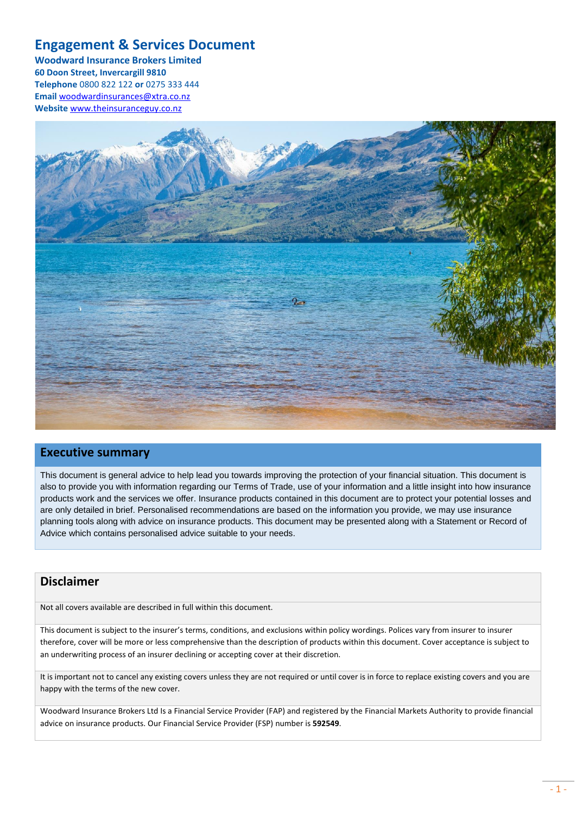### <span id="page-0-0"></span>**Engagement & Services Document**

**Woodward Insurance Brokers Limited 60 Doon Street, Invercargill 9810 Telephone** 0800 822 122 **or** 0275 333 444 **Email** [woodwardinsurances@xtra.co.nz](mailto:woodwardinsurances@xtra.co.nz) **Website** [www.theinsuranceguy.co.nz](http://www.theinsuranceguy.co.nz/)



### **Executive summary**

This document is general advice to help lead you towards improving the protection of your financial situation. This document is also to provide you with information regarding our Terms of Trade, use of your information and a little insight into how insurance products work and the services we offer. Insurance products contained in this document are to protect your potential losses and are only detailed in brief. Personalised recommendations are based on the information you provide, we may use insurance planning tools along with advice on insurance products. This document may be presented along with a Statement or Record of Advice which contains personalised advice suitable to your needs.

### **Disclaimer**

Not all covers available are described in full within this document.

This document is subject to the insurer's terms, conditions, and exclusions within policy wordings. Polices vary from insurer to insurer therefore, cover will be more or less comprehensive than the description of products within this document. Cover acceptance is subject to an underwriting process of an insurer declining or accepting cover at their discretion.

It is important not to cancel any existing covers unless they are not required or until cover is in force to replace existing covers and you are happy with the terms of the new cover.

Woodward Insurance Brokers Ltd Is a Financial Service Provider (FAP) and registered by the Financial Markets Authority to provide financial advice on insurance products. Our Financial Service Provider (FSP) number is **592549**.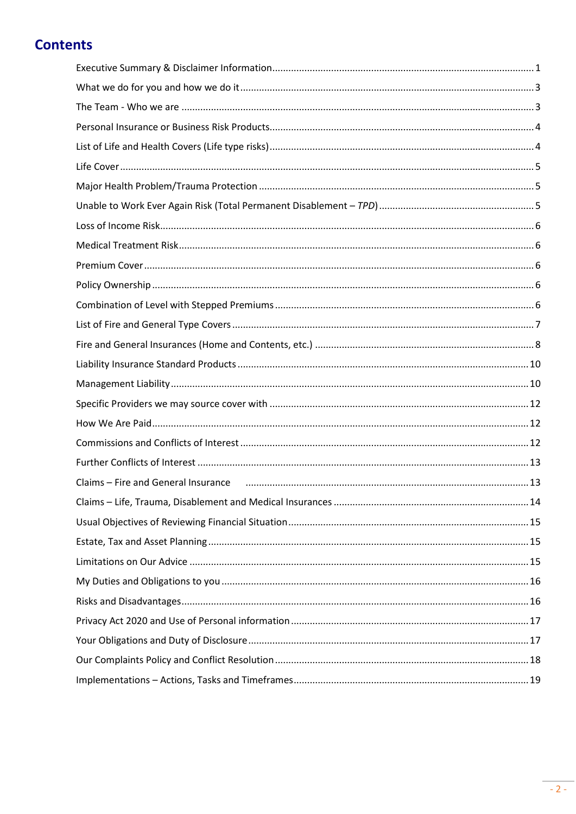# **Contents**

<span id="page-1-0"></span>

| Claims - Fire and General Insurance (2008) 2008 (2009) 23 |  |
|-----------------------------------------------------------|--|
|                                                           |  |
|                                                           |  |
|                                                           |  |
|                                                           |  |
|                                                           |  |
|                                                           |  |
|                                                           |  |
|                                                           |  |
|                                                           |  |
|                                                           |  |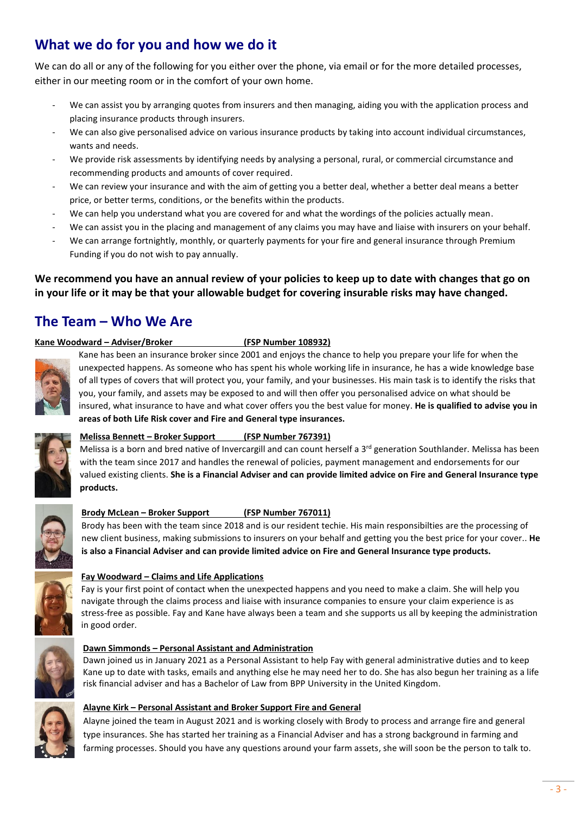# **What we do for you and how we do it**

We can do all or any of the following for you either over the phone, via email or for the more detailed processes, either in our meeting room or in the comfort of your own home.

- We can assist you by arranging quotes from insurers and then managing, aiding you with the application process and placing insurance products through insurers.
- We can also give personalised advice on various insurance products by taking into account individual circumstances, wants and needs.
- We provide risk assessments by identifying needs by analysing a personal, rural, or commercial circumstance and recommending products and amounts of cover required.
- We can review your insurance and with the aim of getting you a better deal, whether a better deal means a better price, or better terms, conditions, or the benefits within the products.
- We can help you understand what you are covered for and what the wordings of the policies actually mean.
- We can assist you in the placing and management of any claims you may have and liaise with insurers on your behalf.
- We can arrange fortnightly, monthly, or quarterly payments for your fire and general insurance through Premium Funding if you do not wish to pay annually.

### **We recommend you have an annual review of your policies to keep up to date with changes that go on in your life or it may be that your allowable budget for covering insurable risks may have changed.**

### <span id="page-2-0"></span>**The Team – Who We Are**

#### **Kane Woodward – Adviser/Broker (FSP Number 108932)**



Kane has been an insurance broker since 2001 and enjoys the chance to help you prepare your life for when the unexpected happens. As someone who has spent his whole working life in insurance, he has a wide knowledge base of all types of covers that will protect you, your family, and your businesses. His main task is to identify the risks that you, your family, and assets may be exposed to and will then offer you personalised advice on what should be insured, what insurance to have and what cover offers you the best value for money. **He is qualified to advise you in areas of both Life Risk cover and Fire and General type insurances.**



### **Melissa Bennett – Broker Support (FSP Number 767391)**

Melissa is a born and bred native of Invercargill and can count herself a 3<sup>rd</sup> generation Southlander. Melissa has been with the team since 2017 and handles the renewal of policies, payment management and endorsements for our valued existing clients. **She is a Financial Adviser and can provide limited advice on Fire and General Insurance type products.** 



### **Brody McLean – Broker Support (FSP Number 767011)**

Brody has been with the team since 2018 and is our resident techie. His main responsibilties are the processing of new client business, making submissions to insurers on your behalf and getting you the best price for your cover.. **He is also a Financial Adviser and can provide limited advice on Fire and General Insurance type products.** 



### **Fay Woodward – Claims and Life Applications**

Fay is your first point of contact when the unexpected happens and you need to make a claim. She will help you navigate through the claims process and liaise with insurance companies to ensure your claim experience is as stress-free as possible. Fay and Kane have always been a team and she supports us all by keeping the administration in good order.



#### **Dawn Simmonds – Personal Assistant and Administration**

Dawn joined us in January 2021 as a Personal Assistant to help Fay with general administrative duties and to keep Kane up to date with tasks, emails and anything else he may need her to do. She has also begun her training as a life risk financial adviser and has a Bachelor of Law from BPP University in the United Kingdom.



#### **Alayne Kirk – Personal Assistant and Broker Support Fire and General**

Alayne joined the team in August 2021 and is working closely with Brody to process and arrange fire and general type insurances. She has started her training as a Financial Adviser and has a strong background in farming and farming processes. Should you have any questions around your farm assets, she will soon be the person to talk to.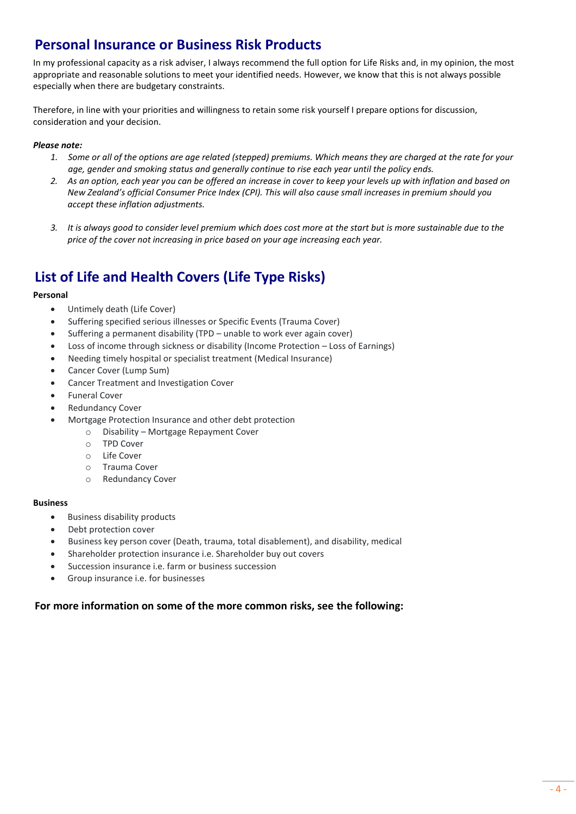### **Personal Insurance or Business Risk Products**

In my professional capacity as a risk adviser, I always recommend the full option for Life Risks and, in my opinion, the most appropriate and reasonable solutions to meet your identified needs. However, we know that this is not always possible especially when there are budgetary constraints.

Therefore, in line with your priorities and willingness to retain some risk yourself I prepare options for discussion, consideration and your decision.

#### *Please note:*

- *1. Some or all of the options are age related (stepped) premiums. Which means they are charged at the rate for your age, gender and smoking status and generally continue to rise each year until the policy ends.*
- *2. As an option, each year you can be offered an increase in cover to keep your levels up with inflation and based on New Zealand's official Consumer Price Index (CPI). This will also cause small increases in premium should you accept these inflation adjustments.*
- *3. It is always good to consider level premium which does cost more at the start but is more sustainable due to the price of the cover not increasing in price based on your age increasing each year.*

# <span id="page-3-0"></span>**List of Life and Health Covers (Life Type Risks)**

#### **Personal**

- Untimely death (Life Cover)
- Suffering specified serious illnesses or Specific Events (Trauma Cover)
- Suffering a permanent disability (TPD unable to work ever again cover)
- Loss of income through sickness or disability (Income Protection Loss of Earnings)
- Needing timely hospital or specialist treatment (Medical Insurance)
- Cancer Cover (Lump Sum)
- Cancer Treatment and Investigation Cover
- Funeral Cover
- Redundancy Cover
- Mortgage Protection Insurance and other debt protection
	- o Disability Mortgage Repayment Cover
	- o TPD Cover
	- o Life Cover
	- o Trauma Cover
	- o Redundancy Cover

#### **Business**

- Business disability products
- Debt protection cover
- Business key person cover (Death, trauma, total disablement), and disability, medical
- Shareholder protection insurance i.e. Shareholder buy out covers
- Succession insurance i.e. farm or business succession
- Group insurance i.e. for businesses

#### **For more information on some of the more common risks, see the following:**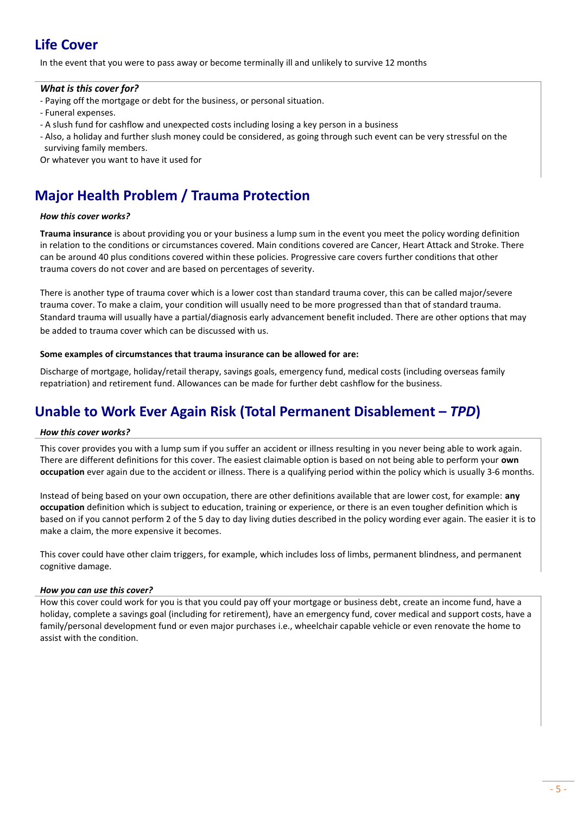# <span id="page-4-0"></span>**Life Cover**

In the event that you were to pass away or become terminally ill and unlikely to survive 12 months

#### *What is this cover for?*

- Paying off the mortgage or debt for the business, or personal situation.
- Funeral expenses.
- A slush fund for cashflow and unexpected costs including losing a key person in a business
- Also, a holiday and further slush money could be considered, as going through such event can be very stressful on the surviving family members.

Or whatever you want to have it used for

# <span id="page-4-1"></span>**Major Health Problem / Trauma Protection**

#### *How this cover works?*

**Trauma insurance** is about providing you or your business a lump sum in the event you meet the policy wording definition in relation to the conditions or circumstances covered. Main conditions covered are Cancer, Heart Attack and Stroke. There can be around 40 plus conditions covered within these policies. Progressive care covers further conditions that other trauma covers do not cover and are based on percentages of severity.

There is another type of trauma cover which is a lower cost than standard trauma cover, this can be called major/severe trauma cover. To make a claim, your condition will usually need to be more progressed than that of standard trauma. Standard trauma will usually have a partial/diagnosis early advancement benefit included. There are other options that may be added to trauma cover which can be discussed with us.

#### **Some examples of circumstances that trauma insurance can be allowed for are:**

Discharge of mortgage, holiday/retail therapy, savings goals, emergency fund, medical costs (including overseas family repatriation) and retirement fund. Allowances can be made for further debt cashflow for the business.

# <span id="page-4-2"></span>**Unable to Work Ever Again Risk (Total Permanent Disablement –** *TPD***)**

#### *How this cover works?*

This cover provides you with a lump sum if you suffer an accident or illness resulting in you never being able to work again. There are different definitions for this cover. The easiest claimable option is based on not being able to perform your **own occupation** ever again due to the accident or illness. There is a qualifying period within the policy which is usually 3-6 months.

Instead of being based on your own occupation, there are other definitions available that are lower cost, for example: **any occupation** definition which is subject to education, training or experience, or there is an even tougher definition which is based on if you cannot perform 2 of the 5 day to day living duties described in the policy wording ever again. The easier it is to make a claim, the more expensive it becomes.

This cover could have other claim triggers, for example, which includes loss of limbs, permanent blindness, and permanent cognitive damage.

#### *How you can use this cover?*

How this cover could work for you is that you could pay off your mortgage or business debt, create an income fund, have a holiday, complete a savings goal (including for retirement), have an emergency fund, cover medical and support costs, have a family/personal development fund or even major purchases i.e., wheelchair capable vehicle or even renovate the home to assist with the condition.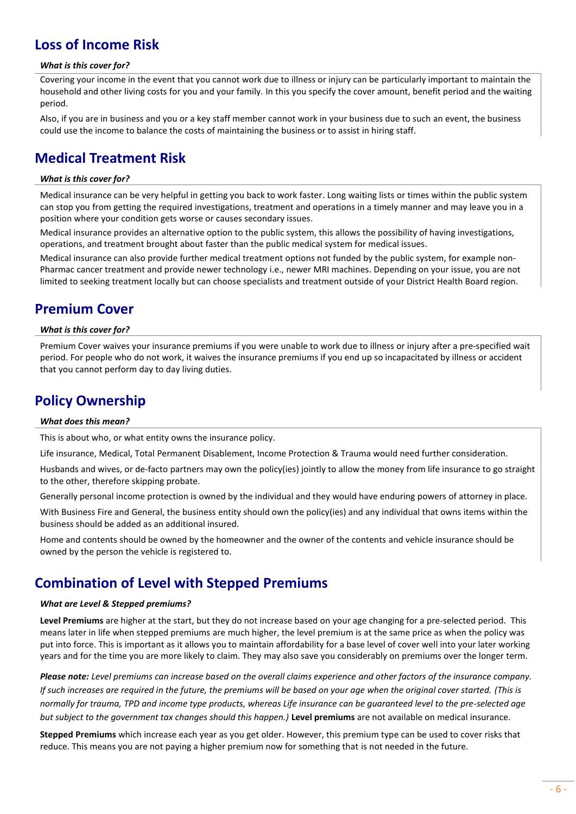### <span id="page-5-0"></span>**Loss of Income Risk**

#### *What is this cover for?*

Covering your income in the event that you cannot work due to illness or injury can be particularly important to maintain the household and other living costs for you and your family. In this you specify the cover amount, benefit period and the waiting period.

Also, if you are in business and you or a key staff member cannot work in your business due to such an event, the business could use the income to balance the costs of maintaining the business or to assist in hiring staff.

### <span id="page-5-1"></span>**Medical Treatment Risk**

#### *What is this cover for?*

Medical insurance can be very helpful in getting you back to work faster. Long waiting lists or times within the public system can stop you from getting the required investigations, treatment and operations in a timely manner and may leave you in a position where your condition gets worse or causes secondary issues.

Medical insurance provides an alternative option to the public system, this allows the possibility of having investigations, operations, and treatment brought about faster than the public medical system for medical issues.

Medical insurance can also provide further medical treatment options not funded by the public system, for example non-Pharmac cancer treatment and provide newer technology i.e., newer MRI machines. Depending on your issue, you are not limited to seeking treatment locally but can choose specialists and treatment outside of your District Health Board region.

### <span id="page-5-2"></span>**Premium Cover**

#### *What is this cover for?*

Premium Cover waives your insurance premiums if you were unable to work due to illness or injury after a pre-specified wait period. For people who do not work, it waives the insurance premiums if you end up so incapacitated by illness or accident that you cannot perform day to day living duties.

### <span id="page-5-3"></span>**Policy Ownership**

#### *What does this mean?*

This is about who, or what entity owns the insurance policy.

Life insurance, Medical, Total Permanent Disablement, Income Protection & Trauma would need further consideration.

Husbands and wives, or de-facto partners may own the policy(ies) jointly to allow the money from life insurance to go straight to the other, therefore skipping probate.

Generally personal income protection is owned by the individual and they would have enduring powers of attorney in place.

With Business Fire and General, the business entity should own the policy(ies) and any individual that owns items within the business should be added as an additional insured.

Home and contents should be owned by the homeowner and the owner of the contents and vehicle insurance should be owned by the person the vehicle is registered to.

### <span id="page-5-4"></span>**Combination of Level with Stepped Premiums**

#### *What are Level & Stepped premiums?*

**Level Premiums** are higher at the start, but they do not increase based on your age changing for a pre-selected period. This means later in life when stepped premiums are much higher, the level premium is at the same price as when the policy was put into force. This is important as it allows you to maintain affordability for a base level of cover well into your later working years and for the time you are more likely to claim. They may also save you considerably on premiums over the longer term.

*Please note: Level premiums can increase based on the overall claims experience and other factors of the insurance company. If such increases are required in the future, the premiums will be based on your age when the original cover started. (This is normally for trauma, TPD and income type products, whereas Life insurance can be guaranteed level to the pre-selected age but subject to the government tax changes should this happen.)* **Level premiums** are not available on medical insurance.

**Stepped Premiums** which increase each year as you get older. However, this premium type can be used to cover risks that reduce. This means you are not paying a higher premium now for something that is not needed in the future.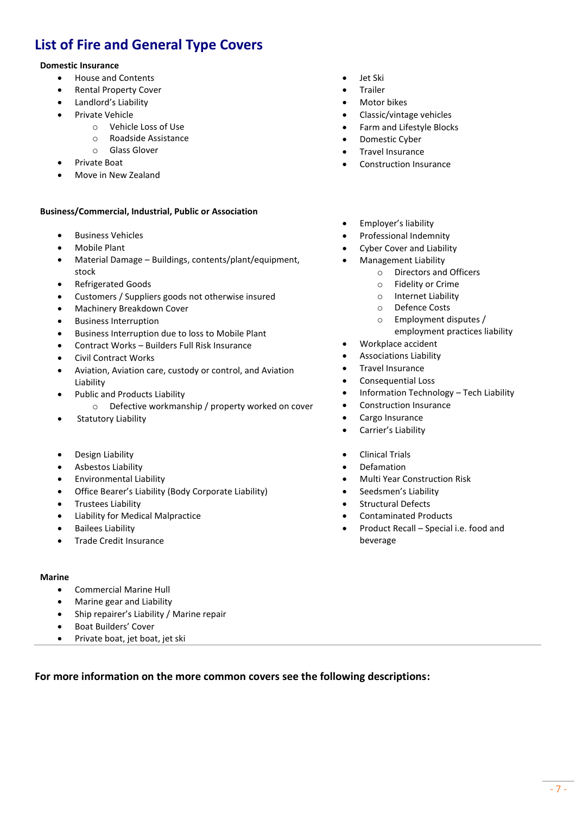# <span id="page-6-0"></span>**List of Fire and General Type Covers**

#### **Domestic Insurance**

- House and Contents
- Rental Property Cover
- Landlord's Liability
- Private Vehicle
	- o Vehicle Loss of Use
	- o Roadside Assistance
	- o Glass Glover
- Private Boat
- Move in New Zealand

#### **Business/Commercial, Industrial, Public or Association**

- Business Vehicles
- Mobile Plant
- Material Damage Buildings, contents/plant/equipment, stock
- Refrigerated Goods
- Customers / Suppliers goods not otherwise insured
- Machinery Breakdown Cover
- Business Interruption
- Business Interruption due to loss to Mobile Plant
- Contract Works Builders Full Risk Insurance
- Civil Contract Works
- Aviation, Aviation care, custody or control, and Aviation Liability
- Public and Products Liability
	- o Defective workmanship / property worked on cover
- Statutory Liability
- Design Liability
- Asbestos Liability
- Environmental Liability
- Office Bearer's Liability (Body Corporate Liability)
- Trustees Liability
- Liability for Medical Malpractice
- Bailees Liability
- Trade Credit Insurance

#### **Marine**

- Commercial Marine Hull
- Marine gear and Liability
- Ship repairer's Liability / Marine repair
- Boat Builders' Cover
- Private boat, jet boat, jet ski
- Jet Ski
- **Trailer**
- Motor bikes
- Classic/vintage vehicles
- Farm and Lifestyle Blocks
- Domestic Cyber
- Travel Insurance
- Construction Insurance
- Employer's liability
- Professional Indemnity
- Cyber Cover and Liability
- Management Liability
	- o Directors and Officers
	- o Fidelity or Crime
	- o Internet Liability
	- o Defence Costs
	- o Employment disputes / employment practices liability
- Workplace accident
- Associations Liability
- Travel Insurance
- Consequential Loss
- Information Technology Tech Liability
- Construction Insurance
- Cargo Insurance
- Carrier's Liability
- Clinical Trials
- Defamation
- Multi Year Construction Risk
- Seedsmen's Liability
- Structural Defects
- Contaminated Products
- Product Recall Special i.e. food and beverage

**For more information on the more common covers see the following descriptions:**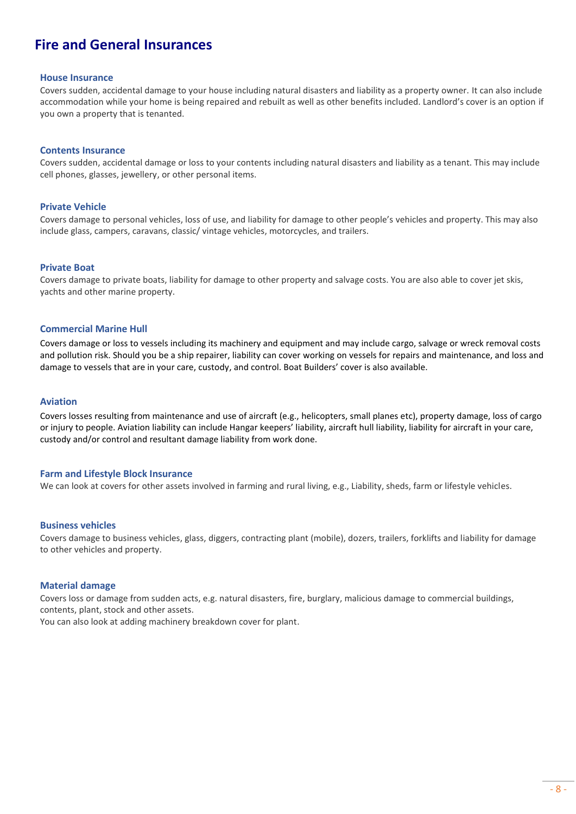### <span id="page-7-0"></span>**Fire and General Insurances**

#### **House Insurance**

Covers sudden, accidental damage to your house including natural disasters and liability as a property owner. It can also include accommodation while your home is being repaired and rebuilt as well as other benefits included. Landlord's cover is an option if you own a property that is tenanted.

#### **Contents Insurance**

Covers sudden, accidental damage or loss to your contents including natural disasters and liability as a tenant. This may include cell phones, glasses, jewellery, or other personal items.

#### **Private Vehicle**

Covers damage to personal vehicles, loss of use, and liability for damage to other people's vehicles and property. This may also include glass, campers, caravans, classic/ vintage vehicles, motorcycles, and trailers.

#### **Private Boat**

Covers damage to private boats, liability for damage to other property and salvage costs. You are also able to cover jet skis, yachts and other marine property.

#### **Commercial Marine Hull**

Covers damage or loss to vessels including its machinery and equipment and may include cargo, salvage or wreck removal costs and pollution risk. Should you be a ship repairer, liability can cover working on vessels for repairs and maintenance, and loss and damage to vessels that are in your care, custody, and control. Boat Builders' cover is also available.

#### **Aviation**

Covers losses resulting from maintenance and use of aircraft (e.g., helicopters, small planes etc), property damage, loss of cargo or injury to people. Aviation liability can include Hangar keepers' liability, aircraft hull liability, liability for aircraft in your care, custody and/or control and resultant damage liability from work done.

#### **Farm and Lifestyle Block Insurance**

We can look at covers for other assets involved in farming and rural living, e.g., Liability, sheds, farm or lifestyle vehicles.

#### **Business vehicles**

Covers damage to business vehicles, glass, diggers, contracting plant (mobile), dozers, trailers, forklifts and liability for damage to other vehicles and property.

#### **Material damage**

Covers loss or damage from sudden acts, e.g. natural disasters, fire, burglary, malicious damage to commercial buildings, contents, plant, stock and other assets.

You can also look at adding machinery breakdown cover for plant.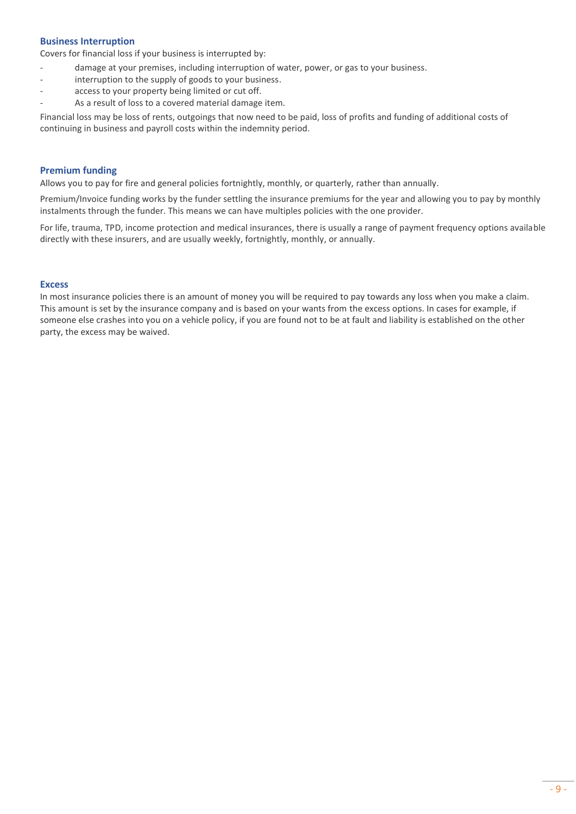#### **Business Interruption**

Covers for financial loss if your business is interrupted by:

- damage at your premises, including interruption of water, power, or gas to your business.
- interruption to the supply of goods to your business.
- access to your property being limited or cut off.
- As a result of loss to a covered material damage item.

Financial loss may be loss of rents, outgoings that now need to be paid, loss of profits and funding of additional costs of continuing in business and payroll costs within the indemnity period.

#### **Premium funding**

Allows you to pay for fire and general policies fortnightly, monthly, or quarterly, rather than annually.

Premium/Invoice funding works by the funder settling the insurance premiums for the year and allowing you to pay by monthly instalments through the funder. This means we can have multiples policies with the one provider.

For life, trauma, TPD, income protection and medical insurances, there is usually a range of payment frequency options available directly with these insurers, and are usually weekly, fortnightly, monthly, or annually.

#### **Excess**

In most insurance policies there is an amount of money you will be required to pay towards any loss when you make a claim. This amount is set by the insurance company and is based on your wants from the excess options. In cases for example, if someone else crashes into you on a vehicle policy, if you are found not to be at fault and liability is established on the other party, the excess may be waived.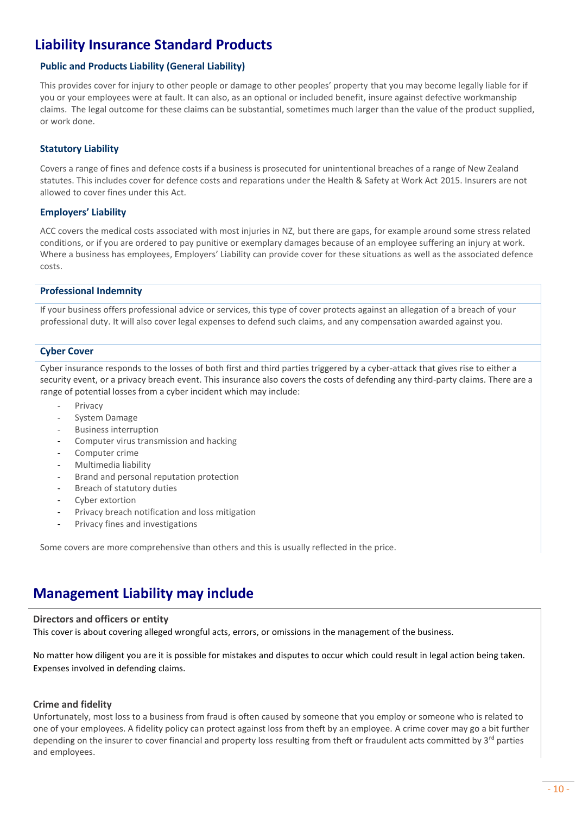# <span id="page-9-0"></span>**Liability Insurance Standard Products**

#### **Public and Products Liability (General Liability)**

This provides cover for injury to other people or damage to other peoples' property that you may become legally liable for if you or your employees were at fault. It can also, as an optional or included benefit, insure against defective workmanship claims. The legal outcome for these claims can be substantial, sometimes much larger than the value of the product supplied, or work done.

#### **Statutory Liability**

Covers a range of fines and defence costs if a business is prosecuted for unintentional breaches of a range of New Zealand statutes. This includes cover for defence costs and reparations under the Health & Safety at Work Act 2015. Insurers are not allowed to cover fines under this Act.

#### **Employers' Liability**

ACC covers the medical costs associated with most injuries in NZ, but there are gaps, for example around some stress related conditions, or if you are ordered to pay punitive or exemplary damages because of an employee suffering an injury at work. Where a business has employees, Employers' Liability can provide cover for these situations as well as the associated defence costs.

#### **Professional Indemnity**

If your business offers professional advice or services, this type of cover protects against an allegation of a breach of your professional duty. It will also cover legal expenses to defend such claims, and any compensation awarded against you.

#### **Cyber Cover**

Cyber insurance responds to the losses of both first and third parties triggered by a cyber-attack that gives rise to either a security event, or a privacy breach event. This insurance also covers the costs of defending any third-party claims. There are a range of potential losses from a cyber incident which may include:

- Privacy
- System Damage
- Business interruption
- Computer virus transmission and hacking
- Computer crime
- Multimedia liability
- Brand and personal reputation protection
- Breach of statutory duties
- Cyber extortion
- Privacy breach notification and loss mitigation
- Privacy fines and investigations

Some covers are more comprehensive than others and this is usually reflected in the price.

### <span id="page-9-1"></span>**Management Liability may include**

#### **Directors and officers or entity**

This cover is about covering alleged wrongful acts, errors, or omissions in the management of the business.

No matter how diligent you are it is possible for mistakes and disputes to occur which could result in legal action being taken. Expenses involved in defending claims.

#### **Crime and fidelity**

Unfortunately, most loss to a business from fraud is often caused by someone that you employ or someone who is related to one of your employees. A fidelity policy can protect against loss from theft by an employee. A crime cover may go a bit further depending on the insurer to cover financial and property loss resulting from theft or fraudulent acts committed by 3<sup>rd</sup> parties and employees.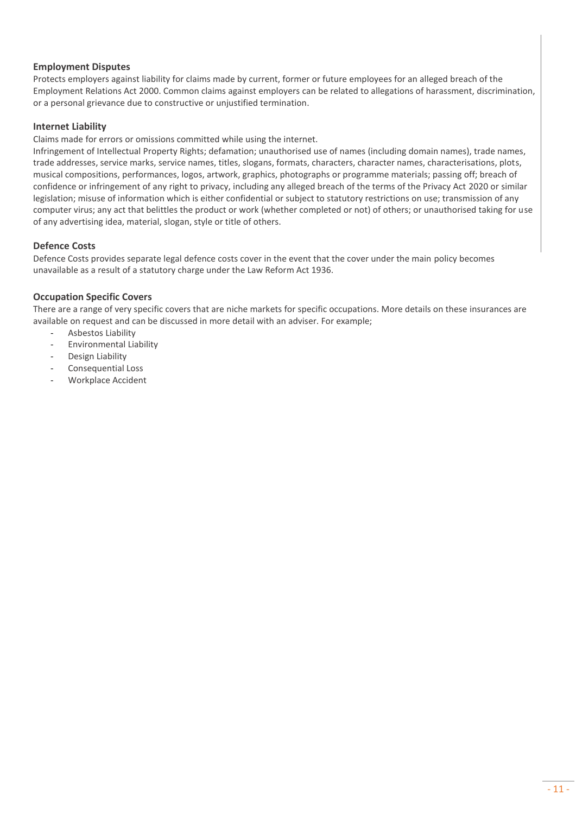#### **[Employment Disputes](https://www.veroliability.co.nz/products/employment-disputes.html)**

Protects employers against liability for claims made by current, former or future employees for an alleged breach of the Employment Relations Act 2000. Common claims against employers can be related to allegations of harassment, discrimination, or a personal grievance due to constructive or unjustified termination.

#### **Internet Liability**

Claims made for errors or omissions committed while using the internet.

Infringement of Intellectual Property Rights; defamation; unauthorised use of names (including domain names), trade names, trade addresses, service marks, service names, titles, slogans, formats, characters, character names, characterisations, plots, musical compositions, performances, logos, artwork, graphics, photographs or programme materials; passing off; breach of confidence or infringement of any right to privacy, including any alleged breach of the terms of the Privacy Act 2020 or similar legislation; misuse of information which is either confidential or subject to statutory restrictions on use; transmission of any computer virus; any act that belittles the product or work (whether completed or not) of others; or unauthorised taking for use of any advertising idea, material, slogan, style or title of others.

#### **[Defence Costs](https://www.veroliability.co.nz/products/defence-costs.html)**

Defence Costs provides separate legal defence costs cover in the event that the cover under the main policy becomes unavailable as a result of a statutory charge under the Law Reform Act 1936.

#### **Occupation Specific Covers**

There are a range of very specific covers that are niche markets for specific occupations. More details on these insurances are available on request and can be discussed in more detail with an adviser. For example;

- Asbestos Liability
- Environmental Liability
- Design Liability
- Consequential Loss
- Workplace Accident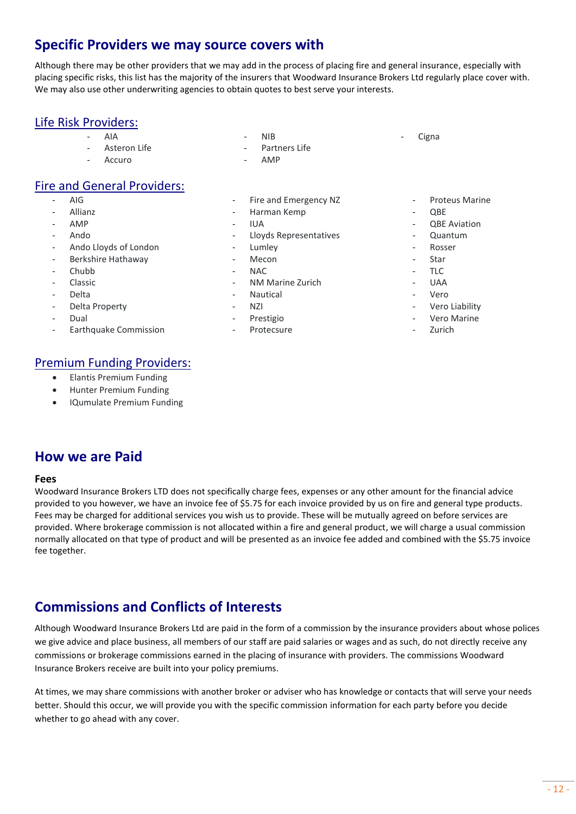# <span id="page-11-0"></span>**Specific Providers we may source covers with**

Although there may be other providers that we may add in the process of placing fire and general insurance, especially with placing specific risks, this list has the majority of the insurers that Woodward Insurance Brokers Ltd regularly place cover with. We may also use other underwriting agencies to obtain quotes to best serve your interests.

### Life Risk Providers:

- AIA
- Asteron Life
- **Accuro**

### Fire and General Providers:

- AIG
- **Allianz**
- AMP
- Ando
- Ando Lloyds of London
- Berkshire Hathaway
- Chubb
- Classic
- **Delta**
- Delta Property
- Dual
- Earthquake Commission

### Premium Funding Providers:

- Elantis Premium Funding
- Hunter Premium Funding
- IQumulate Premium Funding

Partners Life - AMP

- Fire and Emergency NZ
- Harman Kemp

- NIB

- IUA
- Lloyds Representatives
- **Lumley**
- Mecon
- NAC
- NM Marine Zurich
- **Nautical**
- NZI
- Prestigio
	- Protecsure
- Proteus Marine
- $ORF$

Cigna

- **QBE Aviation**
- Quantum
- **Rosser**
- Star
- $-$  TLC
- UAA
- Vero
- Vero Liability
- Vero Marine
- Zurich

### <span id="page-11-1"></span>**How we are Paid**

#### **Fees**

Woodward Insurance Brokers LTD does not specifically charge fees, expenses or any other amount for the financial advice provided to you however, we have an invoice fee of \$5.75 for each invoice provided by us on fire and general type products. Fees may be charged for additional services you wish us to provide. These will be mutually agreed on before services are provided. Where brokerage commission is not allocated within a fire and general product, we will charge a usual commission normally allocated on that type of product and will be presented as an invoice fee added and combined with the \$5.75 invoice fee together.

# <span id="page-11-2"></span>**Commissions and Conflicts of Interests**

Although Woodward Insurance Brokers Ltd are paid in the form of a commission by the insurance providers about whose polices we give advice and place business, all members of our staff are paid salaries or wages and as such, do not directly receive any commissions or brokerage commissions earned in the placing of insurance with providers. The commissions Woodward Insurance Brokers receive are built into your policy premiums.

At times, we may share commissions with another broker or adviser who has knowledge or contacts that will serve your needs better. Should this occur, we will provide you with the specific commission information for each party before you decide whether to go ahead with any cover.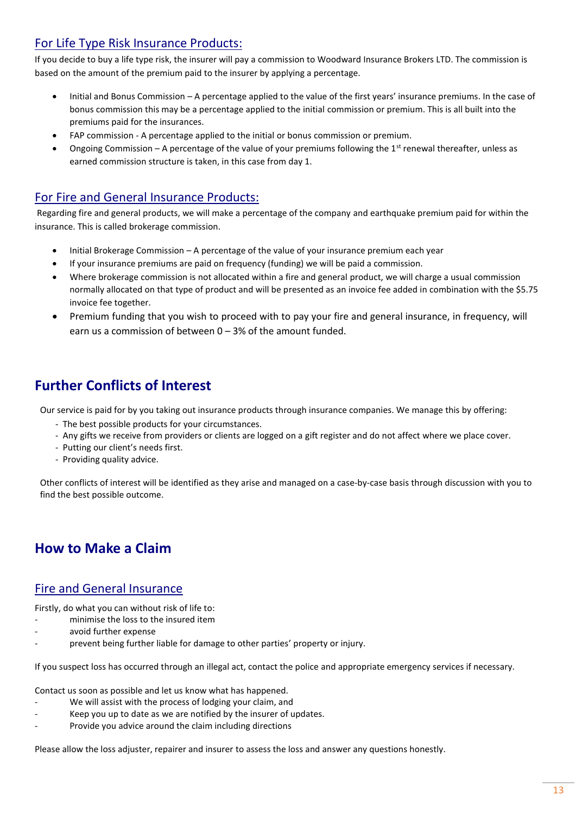### For Life Type Risk Insurance Products:

If you decide to buy a life type risk, the insurer will pay a commission to Woodward Insurance Brokers LTD. The commission is based on the amount of the premium paid to the insurer by applying a percentage.

- Initial and Bonus Commission A percentage applied to the value of the first years' insurance premiums. In the case of bonus commission this may be a percentage applied to the initial commission or premium. This is all built into the premiums paid for the insurances.
- FAP commission A percentage applied to the initial or bonus commission or premium.
- Ongoing Commission A percentage of the value of your premiums following the 1<sup>st</sup> renewal thereafter, unless as earned commission structure is taken, in this case from day 1.

### For Fire and General Insurance Products:

Regarding fire and general products, we will make a percentage of the company and earthquake premium paid for within the insurance. This is called brokerage commission.

- Initial Brokerage Commission A percentage of the value of your insurance premium each year
- If your insurance premiums are paid on frequency (funding) we will be paid a commission.
- Where brokerage commission is not allocated within a fire and general product, we will charge a usual commission normally allocated on that type of product and will be presented as an invoice fee added in combination with the \$5.75 invoice fee together.
- Premium funding that you wish to proceed with to pay your fire and general insurance, in frequency, will earn us a commission of between 0 – 3% of the amount funded.

# <span id="page-12-0"></span>**Further Conflicts of Interest**

Our service is paid for by you taking out insurance products through insurance companies. We manage this by offering:

- The best possible products for your circumstances.
- Any gifts we receive from providers or clients are logged on a gift register and do not affect where we place cover.
- Putting our client's needs first.
- Providing quality advice.

Other conflicts of interest will be identified as they arise and managed on a case-by-case basis through discussion with you to find the best possible outcome.

# **How to Make a Claim**

### <span id="page-12-1"></span>Fire and General Insurance

Firstly, do what you can without risk of life to:

- minimise the loss to the insured item
- avoid further expense
- prevent being further liable for damage to other parties' property or injury.

If you suspect loss has occurred through an illegal act, contact the police and appropriate emergency services if necessary.

Contact us soon as possible and let us know what has happened.

- We will assist with the process of lodging your claim, and
- Keep you up to date as we are notified by the insurer of updates.
- Provide you advice around the claim including directions

Please allow the loss adjuster, repairer and insurer to assess the loss and answer any questions honestly.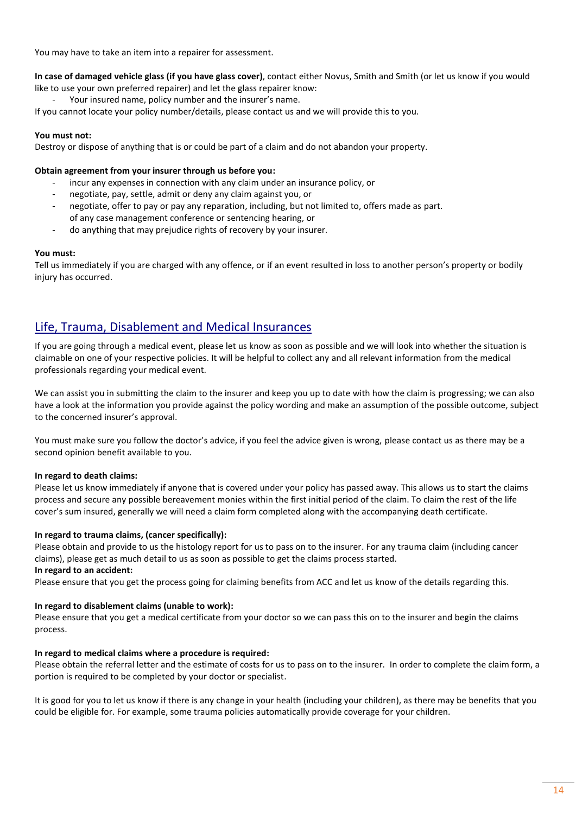You may have to take an item into a repairer for assessment.

#### **In case of damaged vehicle glass (if you have glass cover)**, contact either Novus, Smith and Smith (or let us know if you would like to use your own preferred repairer) and let the glass repairer know:

Your insured name, policy number and the insurer's name.

If you cannot locate your policy number/details, please contact us and we will provide this to you.

#### **You must not:**

Destroy or dispose of anything that is or could be part of a claim and do not abandon your property.

#### **Obtain agreement from your insurer through us before you:**

- incur any expenses in connection with any claim under an insurance policy, or
- negotiate, pay, settle, admit or deny any claim against you, or
- negotiate, offer to pay or pay any reparation, including, but not limited to, offers made as part. of any case management conference or sentencing hearing, or
- do anything that may prejudice rights of recovery by your insurer.

#### **You must:**

Tell us immediately if you are charged with any offence, or if an event resulted in loss to another person's property or bodily injury has occurred.

### <span id="page-13-0"></span>Life, Trauma, Disablement and Medical Insurances

If you are going through a medical event, please let us know as soon as possible and we will look into whether the situation is claimable on one of your respective policies. It will be helpful to collect any and all relevant information from the medical professionals regarding your medical event.

We can assist you in submitting the claim to the insurer and keep you up to date with how the claim is progressing; we can also have a look at the information you provide against the policy wording and make an assumption of the possible outcome, subject to the concerned insurer's approval.

You must make sure you follow the doctor's advice, if you feel the advice given is wrong, please contact us as there may be a second opinion benefit available to you.

#### **In regard to death claims:**

Please let us know immediately if anyone that is covered under your policy has passed away. This allows us to start the claims process and secure any possible bereavement monies within the first initial period of the claim. To claim the rest of the life cover's sum insured, generally we will need a claim form completed along with the accompanying death certificate.

#### **In regard to trauma claims, (cancer specifically):**

Please obtain and provide to us the histology report for us to pass on to the insurer. For any trauma claim (including cancer claims), please get as much detail to us as soon as possible to get the claims process started. **In regard to an accident:**

Please ensure that you get the process going for claiming benefits from ACC and let us know of the details regarding this.

#### **In regard to disablement claims (unable to work):**

Please ensure that you get a medical certificate from your doctor so we can pass this on to the insurer and begin the claims process.

#### **In regard to medical claims where a procedure is required:**

Please obtain the referral letter and the estimate of costs for us to pass on to the insurer. In order to complete the claim form, a portion is required to be completed by your doctor or specialist.

It is good for you to let us know if there is any change in your health (including your children), as there may be benefits that you could be eligible for. For example, some trauma policies automatically provide coverage for your children.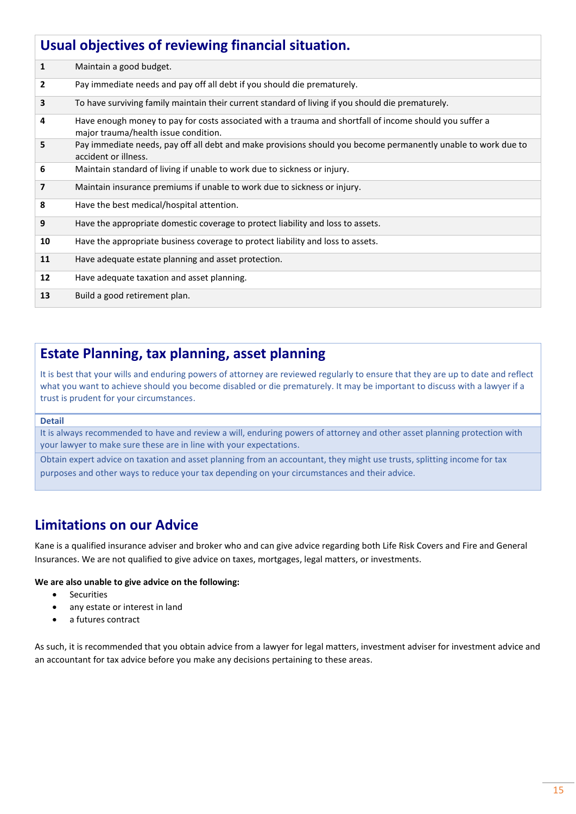<span id="page-14-0"></span>

| Usual objectives of reviewing financial situation. |                                                                                                                                                 |  |
|----------------------------------------------------|-------------------------------------------------------------------------------------------------------------------------------------------------|--|
| $\mathbf{1}$                                       | Maintain a good budget.                                                                                                                         |  |
| $\mathbf{2}$                                       | Pay immediate needs and pay off all debt if you should die prematurely.                                                                         |  |
| 3                                                  | To have surviving family maintain their current standard of living if you should die prematurely.                                               |  |
| 4                                                  | Have enough money to pay for costs associated with a trauma and shortfall of income should you suffer a<br>major trauma/health issue condition. |  |
| 5                                                  | Pay immediate needs, pay off all debt and make provisions should you become permanently unable to work due to<br>accident or illness.           |  |
| 6                                                  | Maintain standard of living if unable to work due to sickness or injury.                                                                        |  |
| $\overline{\phantom{a}}$                           | Maintain insurance premiums if unable to work due to sickness or injury.                                                                        |  |
| 8                                                  | Have the best medical/hospital attention.                                                                                                       |  |
| 9                                                  | Have the appropriate domestic coverage to protect liability and loss to assets.                                                                 |  |
| 10                                                 | Have the appropriate business coverage to protect liability and loss to assets.                                                                 |  |
| 11                                                 | Have adequate estate planning and asset protection.                                                                                             |  |
| 12                                                 | Have adequate taxation and asset planning.                                                                                                      |  |
| 13                                                 | Build a good retirement plan.                                                                                                                   |  |

### <span id="page-14-1"></span>**Estate Planning, tax planning, asset planning**

It is best that your wills and enduring powers of attorney are reviewed regularly to ensure that they are up to date and reflect what you want to achieve should you become disabled or die prematurely. It may be important to discuss with a lawyer if a trust is prudent for your circumstances.

#### **Detail**

It is always recommended to have and review a will, enduring powers of attorney and other asset planning protection with your lawyer to make sure these are in line with your expectations.

Obtain expert advice on taxation and asset planning from an accountant, they might use trusts, splitting income for tax purposes and other ways to reduce your tax depending on your circumstances and their advice.

### <span id="page-14-2"></span>**Limitations on our Advice**

Kane is a qualified insurance adviser and broker who and can give advice regarding both Life Risk Covers and Fire and General Insurances. We are not qualified to give advice on taxes, mortgages, legal matters, or investments.

#### **We are also unable to give advice on the following:**

- Securities
- any estate or interest in land
- a futures contract

As such, it is recommended that you obtain advice from a lawyer for legal matters, investment adviser for investment advice and an accountant for tax advice before you make any decisions pertaining to these areas.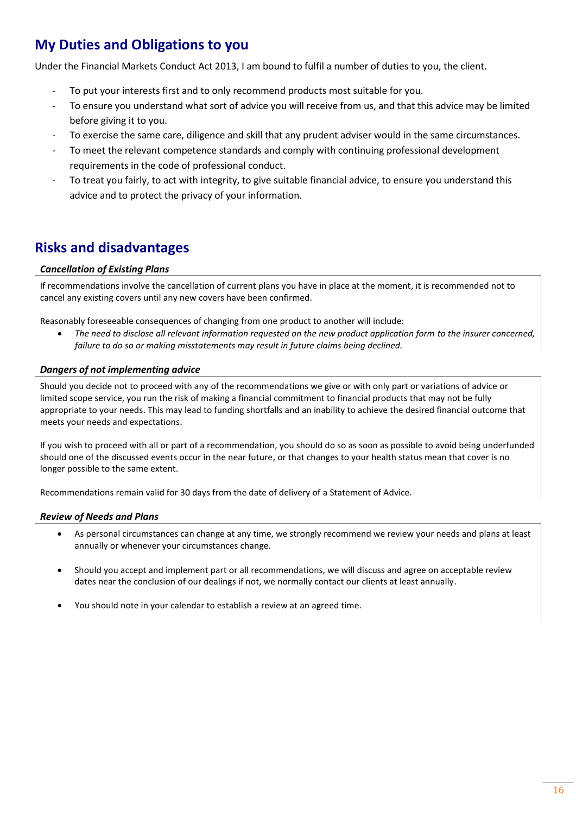# <span id="page-15-0"></span>**My Duties and Obligations to you**

Under the Financial Markets Conduct Act 2013, I am bound to fulfil a number of duties to you, the client.

- To put your interests first and to only recommend products most suitable for you.
- To ensure you understand what sort of advice you will receive from us, and that this advice may be limited before giving it to you.
- To exercise the same care, diligence and skill that any prudent adviser would in the same circumstances.
- To meet the relevant competence standards and comply with continuing professional development requirements in the code of professional conduct.
- To treat you fairly, to act with integrity, to give suitable financial advice, to ensure you understand this advice and to protect the privacy of your information.

# <span id="page-15-1"></span>**Risks and disadvantages**

#### *Cancellation of Existing Plans*

If recommendations involve the cancellation of current plans you have in place at the moment, it is recommended not to cancel any existing covers until any new covers have been confirmed.

Reasonably foreseeable consequences of changing from one product to another will include:

• *The need to disclose all relevant information requested on the new product application form to the insurer concerned, failure to do so or making misstatements may result in future claims being declined.*

#### *Dangers of not implementing advice*

Should you decide not to proceed with any of the recommendations we give or with only part or variations of advice or limited scope service, you run the risk of making a financial commitment to financial products that may not be fully appropriate to your needs. This may lead to funding shortfalls and an inability to achieve the desired financial outcome that meets your needs and expectations.

If you wish to proceed with all or part of a recommendation, you should do so as soon as possible to avoid being underfunded should one of the discussed events occur in the near future, or that changes to your health status mean that cover is no longer possible to the same extent.

Recommendations remain valid for 30 days from the date of delivery of a Statement of Advice.

#### *Review of Needs and Plans*

- As personal circumstances can change at any time, we strongly recommend we review your needs and plans at least annually or whenever your circumstances change.
- Should you accept and implement part or all recommendations, we will discuss and agree on acceptable review dates near the conclusion of our dealings if not, we normally contact our clients at least annually.
- You should note in your calendar to establish a review at an agreed time.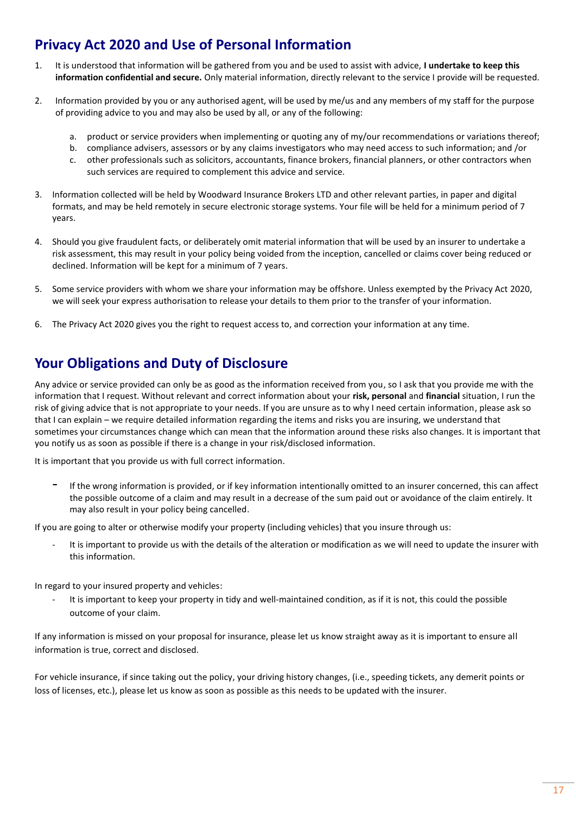### <span id="page-16-0"></span>**Privacy Act 2020 and Use of Personal Information**

- 1. It is understood that information will be gathered from you and be used to assist with advice, **I undertake to keep this information confidential and secure.** Only material information, directly relevant to the service I provide will be requested.
- 2. Information provided by you or any authorised agent, will be used by me/us and any members of my staff for the purpose of providing advice to you and may also be used by all, or any of the following:
	- a. product or service providers when implementing or quoting any of my/our recommendations or variations thereof;
	- b. compliance advisers, assessors or by any claims investigators who may need access to such information; and /or
	- c. other professionals such as solicitors, accountants, finance brokers, financial planners, or other contractors when such services are required to complement this advice and service.
- 3. Information collected will be held by Woodward Insurance Brokers LTD and other relevant parties, in paper and digital formats, and may be held remotely in secure electronic storage systems. Your file will be held for a minimum period of 7 years.
- 4. Should you give fraudulent facts, or deliberately omit material information that will be used by an insurer to undertake a risk assessment, this may result in your policy being voided from the inception, cancelled or claims cover being reduced or declined. Information will be kept for a minimum of 7 years.
- 5. Some service providers with whom we share your information may be offshore. Unless exempted by the Privacy Act 2020, we will seek your express authorisation to release your details to them prior to the transfer of your information.
- 6. The Privacy Act 2020 gives you the right to request access to, and correction your information at any time.

### <span id="page-16-1"></span>**Your Obligations and Duty of Disclosure**

Any advice or service provided can only be as good as the information received from you, so I ask that you provide me with the information that I request. Without relevant and correct information about your **risk, personal** and **financial** situation, I run the risk of giving advice that is not appropriate to your needs. If you are unsure as to why I need certain information, please ask so that I can explain – we require detailed information regarding the items and risks you are insuring, we understand that sometimes your circumstances change which can mean that the information around these risks also changes. It is important that you notify us as soon as possible if there is a change in your risk/disclosed information.

It is important that you provide us with full correct information.

If the wrong information is provided, or if key information intentionally omitted to an insurer concerned, this can affect the possible outcome of a claim and may result in a decrease of the sum paid out or avoidance of the claim entirely. It may also result in your policy being cancelled.

If you are going to alter or otherwise modify your property (including vehicles) that you insure through us:

It is important to provide us with the details of the alteration or modification as we will need to update the insurer with this information.

In regard to your insured property and vehicles:

It is important to keep your property in tidy and well-maintained condition, as if it is not, this could the possible outcome of your claim.

If any information is missed on your proposal for insurance, please let us know straight away as it is important to ensure all information is true, correct and disclosed.

For vehicle insurance, if since taking out the policy, your driving history changes, (i.e., speeding tickets, any demerit points or loss of licenses, etc.), please let us know as soon as possible as this needs to be updated with the insurer.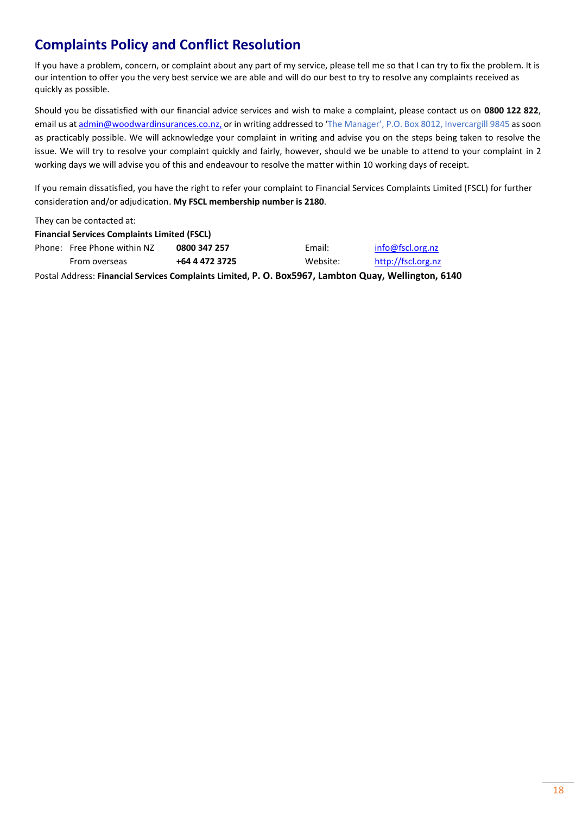# <span id="page-17-0"></span>**Complaints Policy and Conflict Resolution**

If you have a problem, concern, or complaint about any part of my service, please tell me so that I can try to fix the problem. It is our intention to offer you the very best service we are able and will do our best to try to resolve any complaints received as quickly as possible.

Should you be dissatisfied with our financial advice services and wish to make a complaint, please contact us on **0800 122 822**, email us a[t admin@woodwardinsurances.co.nz,](mailto:admin@woodwardinsurances.co.nz) or in writing addressed to 'The Manager', P.O. Box 8012, Invercargill 9845 as soon as practicably possible. We will acknowledge your complaint in writing and advise you on the steps being taken to resolve the issue. We will try to resolve your complaint quickly and fairly, however, should we be unable to attend to your complaint in 2 working days we will advise you of this and endeavour to resolve the matter within 10 working days of receipt.

If you remain dissatisfied, you have the right to refer your complaint to Financial Services Complaints Limited (FSCL) for further consideration and/or adjudication. **My FSCL membership number is 2180**.

They can be contacted at: **Financial Services Complaints Limited (FSCL)** Phone: Free Phone within NZ **0800 347 257** From overseas **+64 4 472 3725** Email: [info@fscl.org.nz](mailto:info@fscl.org.nz) Website: [http://fscl.org.nz](http://fscl.org.nz/) Postal Address: **Financial Services Complaints Limited, P. O. Box5967, Lambton Quay, Wellington, 6140**